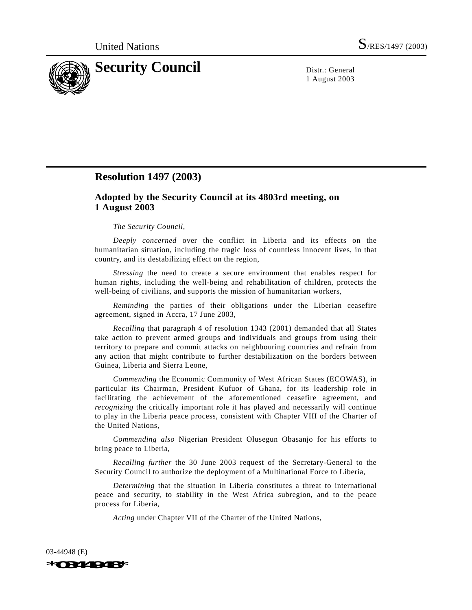

1 August 2003

## **Resolution 1497 (2003)**

## **Adopted by the Security Council at its 4803rd meeting, on 1 August 2003**

## *The Security Council*,

*Deeply concerned* over the conflict in Liberia and its effects on the humanitarian situation, including the tragic loss of countless innocent lives, in that country, and its destabilizing effect on the region,

*Stressing* the need to create a secure environment that enables respect for human rights, including the well-being and rehabilitation of children, protects the well-being of civilians, and supports the mission of humanitarian workers,

*Reminding* the parties of their obligations under the Liberian ceasefire agreement, signed in Accra, 17 June 2003,

*Recalling* that paragraph 4 of resolution 1343 (2001) demanded that all States take action to prevent armed groups and individuals and groups from using their territory to prepare and commit attacks on neighbouring countries and refrain from any action that might contribute to further destabilization on the borders between Guinea, Liberia and Sierra Leone,

*Commending* the Economic Community of West African States (ECOWAS), in particular its Chairman, President Kufuor of Ghana, for its leadership role in facilitating the achievement of the aforementioned ceasefire agreement, and *recognizing* the critically important role it has played and necessarily will continue to play in the Liberia peace process, consistent with Chapter VIII of the Charter of the United Nations,

*Commending also* Nigerian President Olusegun Obasanjo for his efforts to bring peace to Liberia,

*Recalling further* the 30 June 2003 request of the Secretary-General to the Security Council to authorize the deployment of a Multinational Force to Liberia,

*Determining* that the situation in Liberia constitutes a threat to international peace and security, to stability in the West Africa subregion, and to the peace process for Liberia,

*Acting* under Chapter VII of the Charter of the United Nations,

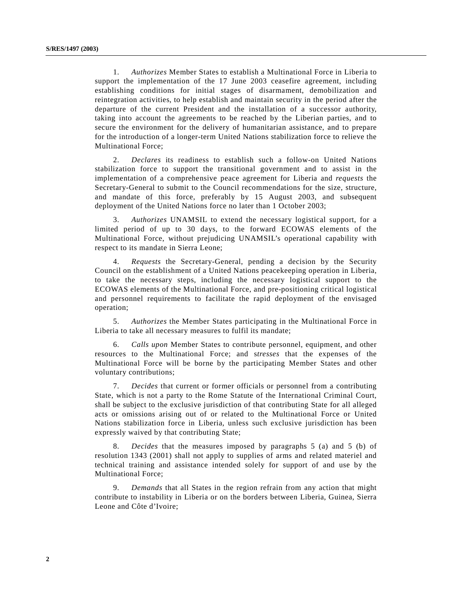1. *Authorizes* Member States to establish a Multinational Force in Liberia to support the implementation of the 17 June 2003 ceasefire agreement, including establishing conditions for initial stages of disarmament, demobilization and reintegration activities, to help establish and maintain security in the period after the departure of the current President and the installation of a successor authority, taking into account the agreements to be reached by the Liberian parties, and to secure the environment for the delivery of humanitarian assistance, and to prepare for the introduction of a longer-term United Nations stabilization force to relieve the Multinational Force;

2. *Declares* its readiness to establish such a follow-on United Nations stabilization force to support the transitional government and to assist in the implementation of a comprehensive peace agreement for Liberia and *requests* the Secretary-General to submit to the Council recommendations for the size, structure, and mandate of this force, preferably by 15 August 2003, and subsequent deployment of the United Nations force no later than 1 October 2003;

3. *Authorizes* UNAMSIL to extend the necessary logistical support, for a limited period of up to 30 days, to the forward ECOWAS elements of the Multinational Force, without prejudicing UNAMSIL's operational capability with respect to its mandate in Sierra Leone;

4. *Requests* the Secretary-General, pending a decision by the Security Council on the establishment of a United Nations peacekeeping operation in Liberia, to take the necessary steps, including the necessary logistical support to the ECOWAS elements of the Multinational Force, and pre-positioning critical logistical and personnel requirements to facilitate the rapid deployment of the envisaged operation;

5. *Authorizes* the Member States participating in the Multinational Force in Liberia to take all necessary measures to fulfil its mandate;

6. *Calls upon* Member States to contribute personnel, equipment, and other resources to the Multinational Force; and s*tresses* that the expenses of the Multinational Force will be borne by the participating Member States and other voluntary contributions;

7. *Decides* that current or former officials or personnel from a contributing State, which is not a party to the Rome Statute of the International Criminal Court, shall be subject to the exclusive jurisdiction of that contributing State for all alleged acts or omissions arising out of or related to the Multinational Force or United Nations stabilization force in Liberia, unless such exclusive jurisdiction has been expressly waived by that contributing State;

8. *Decides* that the measures imposed by paragraphs 5 (a) and 5 (b) of resolution 1343 (2001) shall not apply to supplies of arms and related materiel and technical training and assistance intended solely for support of and use by the Multinational Force;

9. *Demands* that all States in the region refrain from any action that might contribute to instability in Liberia or on the borders between Liberia, Guinea, Sierra Leone and Côte d'Ivoire;